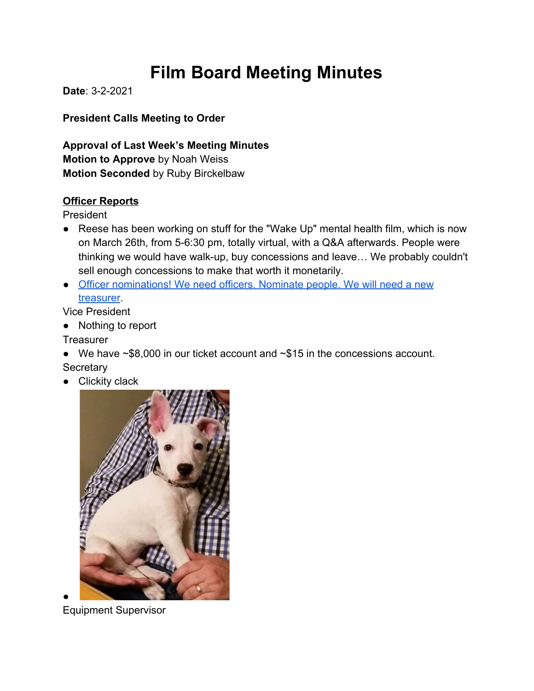# **Film Board Meeting Minutes**

**Date**: 3-2-2021

**President Calls Meeting to Order**

**Approval of Last Week's Meeting Minutes Motion to Approve** by Noah Weiss **Motion Seconded** by Ruby Birckelbaw

#### **Officer Reports**

President

- Reese has been working on stuff for the "Wake Up" mental health film, which is now on March 26th, from 5-6:30 pm, totally virtual, with a Q&A afterwards. People were thinking we would have walk-up, buy concessions and leave… We probably couldn't sell enough concessions to make that worth it monetarily.
- [Officer nominations! We need officers. Nominate people. We will need a new](https://docs.google.com/forms/d/e/1FAIpQLSe1ZKLNViL19eGLf2_UIKfHBBWqbG2qIXqOirmwcdK8aLheKQ/viewform) [treasurer](https://docs.google.com/forms/d/e/1FAIpQLSe1ZKLNViL19eGLf2_UIKfHBBWqbG2qIXqOirmwcdK8aLheKQ/viewform).

Vice President

● Nothing to report

**Treasurer** 

- We have ~\$8,000 in our ticket account and ~\$15 in the concessions account. **Secretary**
- Clickity clack



Equipment Supervisor

●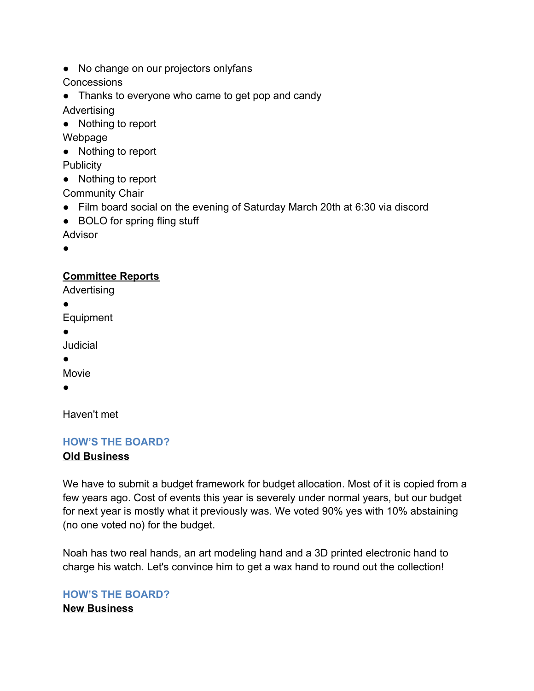● No change on our projectors onlyfans

**Concessions** 

- Thanks to everyone who came to get pop and candy Advertising
- Nothing to report

Webpage

- Nothing to report **Publicity**
- 
- Nothing to report

Community Chair

- Film board social on the evening of Saturday March 20th at 6:30 via discord
- BOLO for spring fling stuff

Advisor

●

## **Committee Reports**

Advertising

●

Equipment

●

Judicial

●

Movie

●

Haven't met

### **HOW'S THE BOARD?**

### **Old Business**

We have to submit a budget framework for budget allocation. Most of it is copied from a few years ago. Cost of events this year is severely under normal years, but our budget for next year is mostly what it previously was. We voted 90% yes with 10% abstaining (no one voted no) for the budget.

Noah has two real hands, an art modeling hand and a 3D printed electronic hand to charge his watch. Let's convince him to get a wax hand to round out the collection!

### **HOW'S THE BOARD? New Business**